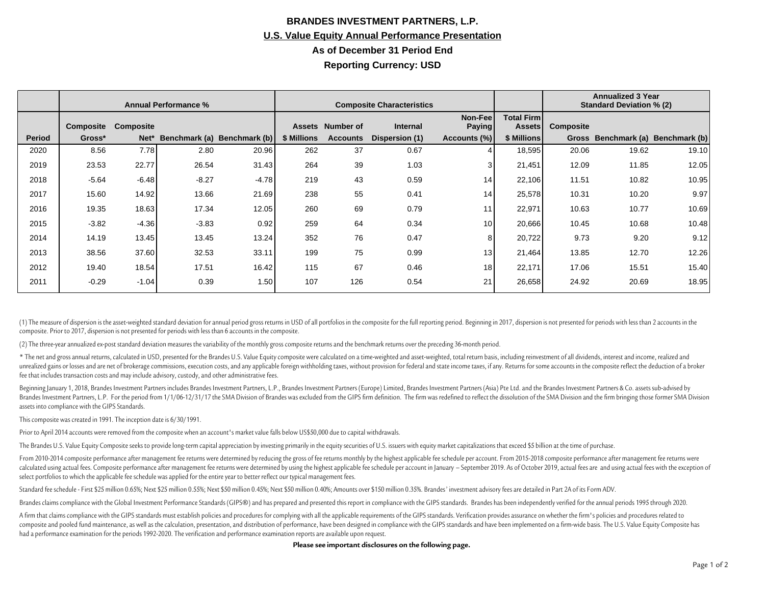## **BRANDES INVESTMENT PARTNERS, L.P. U.S. Value Equity Annual Performance Presentation As of December 31 Period End Reporting Currency: USD**

|        | <b>Annual Performance %</b> |           |         |                             | <b>Composite Characteristics</b> |                  |                 |                           |                              | <b>Annualized 3 Year</b><br><b>Standard Deviation % (2)</b> |       |                                   |
|--------|-----------------------------|-----------|---------|-----------------------------|----------------------------------|------------------|-----------------|---------------------------|------------------------------|-------------------------------------------------------------|-------|-----------------------------------|
|        | Composite                   | Composite |         |                             |                                  | Assets Number of | <b>Internal</b> | Non-Feel<br><b>Paying</b> | <b>Total Firml</b><br>Assets | Composite                                                   |       |                                   |
| Period | Gross*                      | Net*      |         | Benchmark (a) Benchmark (b) | \$ Millions                      | <b>Accounts</b>  | Dispersion (1)  | Accounts (%)              | \$ Millions                  |                                                             |       | Gross Benchmark (a) Benchmark (b) |
| 2020   | 8.56                        | 7.78      | 2.80    | 20.96                       | 262                              | 37               | 0.67            |                           | 18,595                       | 20.06                                                       | 19.62 | 19.10                             |
| 2019   | 23.53                       | 22.77     | 26.54   | 31.43                       | 264                              | 39               | 1.03            |                           | 21,451                       | 12.09                                                       | 11.85 | 12.05                             |
| 2018   | $-5.64$                     | $-6.48$   | $-8.27$ | $-4.78$                     | 219                              | 43               | 0.59            | 14                        | 22,106                       | 11.51                                                       | 10.82 | 10.95                             |
| 2017   | 15.60                       | 14.92     | 13.66   | 21.69                       | 238                              | 55               | 0.41            | 14                        | 25,578                       | 10.31                                                       | 10.20 | 9.97                              |
| 2016   | 19.35                       | 18.63     | 17.34   | 12.05                       | 260                              | 69               | 0.79            | 11                        | 22,971                       | 10.63                                                       | 10.77 | 10.69                             |
| 2015   | $-3.82$                     | $-4.36$   | $-3.83$ | 0.92                        | 259                              | 64               | 0.34            | 10 <sup>1</sup>           | 20,666                       | 10.45                                                       | 10.68 | 10.48                             |
| 2014   | 14.19                       | 13.45     | 13.45   | 13.24                       | 352                              | 76               | 0.47            |                           | 20,722                       | 9.73                                                        | 9.20  | 9.12                              |
| 2013   | 38.56                       | 37.60     | 32.53   | 33.11                       | 199                              | 75               | 0.99            | 13                        | 21,464                       | 13.85                                                       | 12.70 | 12.26                             |
| 2012   | 19.40                       | 18.54     | 17.51   | 16.42                       | 115                              | 67               | 0.46            | 18                        | 22,171                       | 17.06                                                       | 15.51 | 15.40                             |
| 2011   | $-0.29$                     | $-1.04$   | 0.39    | 1.50                        | 107                              | 126              | 0.54            | 21                        | 26,658                       | 24.92                                                       | 20.69 | 18.95                             |

(1) The measure of dispersion is the asset-weighted standard deviation for annual period gross returns in USD of all portfolios in the composite for the full reporting period. Beginning in 2017, dispersion is not presented composite. Prior to 2017, dispersion is not presented for periods with less than 6 accounts in the composite.

(2) The three-year annualized ex-post standard deviation measures the variability of the monthly gross composite returns and the benchmark returns over the preceding 36-month period.

\* The net and gross annual returns, calculated in USD, presented for the Brandes U.S. Value Equity composite were calculated on a time-weighted and asset-weighted, total return basis, including reinvestment of all dividend unrealized gains or losses and are net of brokerage commissions, execution costs, and any applicable foreign withholding taxes, without provision for federal and state income taxes, if any. Returns for some accounts in the fee that includes transaction costs and may include advisory, custody, and other administrative fees.

Beginning January 1, 2018, Brandes Investment Partners includes Brandes Investment Partners, L.P., Brandes Investment Partners (Europe) Limited, Brandes Investment Partners (Asia) Pte Ltd. and the Brandes Investment Partne Brandes Investment Partners, L.P. For the period from 1/1/06-12/31/17 the SMA Division of Brandes was excluded from the GIPS firm definition. The firm was redefined to reflect the dissolution of the SMA Division and the fi assets into compliance with the GIPS Standards.

This composite was created in 1991. The inception date is 6/30/1991.

Prior to April 2014 accounts were removed from the composite when an account's market value falls below US\$50,000 due to capital withdrawals.

The Brandes U.S. Value Equity Composite seeks to provide long-term capital appreciation by investing primarily in the equity securities of U.S. issuers with equity market capitalizations that exceed \$5 billion at the time

From 2010-2014 composite performance after management fee returns were determined by reducing the gross of fee returns monthly by the highest applicable fee schedule per account. From 2015-2018 composite performance after calculated using actual fees. Composite performance after management fee returns were determined by using the highest applicable fee schedule per account in lanuary - September 2019. As of October 2019, actual fees are and select portfolios to which the applicable fee schedule was applied for the entire year to better reflect our typical management fees.

Standard fee schedule - First \$25 million 0.65%; Next \$25 million 0.55%; Next \$50 million 0.45%; Next \$50 million 0.45%; Next \$50 million 0.46%; Amounts over \$150 million 0.35%. Brandes' investment advisory fees are detail

Brandes claims compliance with the Global Investment Performance Standards (GIPS®) and has prepared and presented this report in compliance with the GIPS standards. Brandes has been independently verified for the annual pe

A firm that claims compliance with the GIPS standards must establish policies and procedures for complying with all the applicable requirements of the GIPS standards. Verification provides assurance on whether the firm's p composite and pooled fund maintenance, as well as the calculation, presentation, and distribution of performance, have been designed in compliance with the GIPS standards and have been implemented on a firm-wide basis. The had a performance examination for the periods 1992-2020. The verification and performance examination reports are available upon request.

**Please see important disclosures on the following page.**